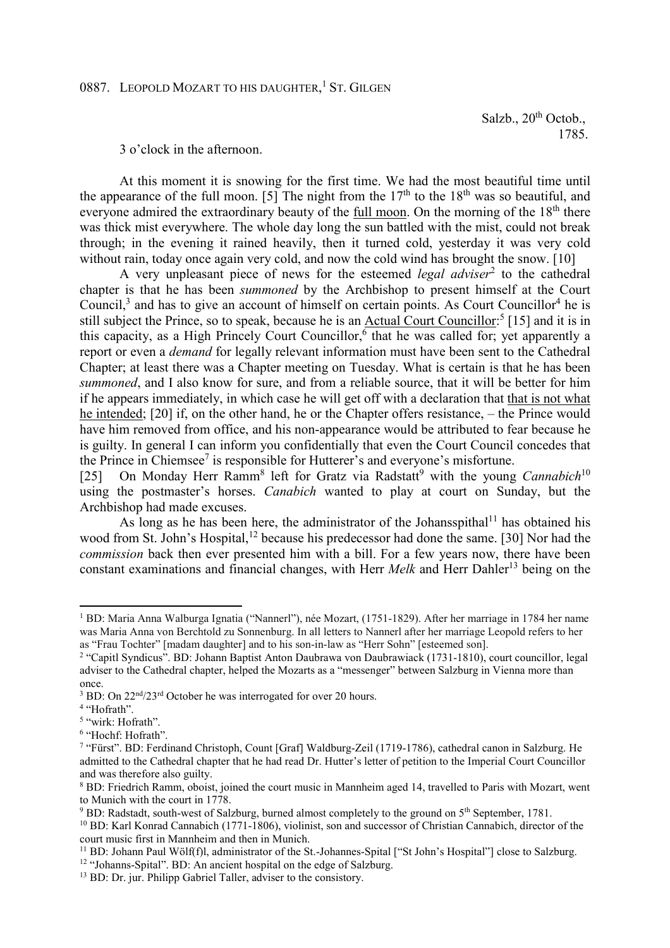Salzb.,  $20^{th}$  Octob., 1785.

3 o'clock in the afternoon.

At this moment it is snowing for the first time. We had the most beautiful time until the appearance of the full moon. [5] The night from the  $17<sup>th</sup>$  to the  $18<sup>th</sup>$  was so beautiful, and everyone admired the extraordinary beauty of the full moon. On the morning of the  $18<sup>th</sup>$  there was thick mist everywhere. The whole day long the sun battled with the mist, could not break through; in the evening it rained heavily, then it turned cold, yesterday it was very cold without rain, today once again very cold, and now the cold wind has brought the snow. [10]

A very unpleasant piece of news for the esteemed *legal adviser*<sup>2</sup> to the cathedral chapter is that he has been *summoned* by the Archbishop to present himself at the Court Council, $3$  and has to give an account of himself on certain points. As Court Councillor<sup>4</sup> he is still subject the Prince, so to speak, because he is an Actual Court Councillor:<sup>5</sup> [15] and it is in this capacity, as a High Princely Court Councillor,<sup>6</sup> that he was called for; yet apparently a report or even a *demand* for legally relevant information must have been sent to the Cathedral Chapter; at least there was a Chapter meeting on Tuesday. What is certain is that he has been *summoned*, and I also know for sure, and from a reliable source, that it will be better for him if he appears immediately, in which case he will get off with a declaration that that is not what he intended; [20] if, on the other hand, he or the Chapter offers resistance, – the Prince would have him removed from office, and his non-appearance would be attributed to fear because he is guilty. In general I can inform you confidentially that even the Court Council concedes that the Prince in Chiemsee<sup>7</sup> is responsible for Hutterer's and everyone's misfortune.

[25] On Monday Herr Ramm<sup>8</sup> left for Gratz via Radstatt<sup>9</sup> with the young *Cannabich*<sup>10</sup> using the postmaster's horses. *Canabich* wanted to play at court on Sunday, but the Archbishop had made excuses.

As long as he has been here, the administrator of the Johansspithal<sup>11</sup> has obtained his wood from St. John's Hospital,<sup>12</sup> because his predecessor had done the same. [30] Nor had the *commission* back then ever presented him with a bill. For a few years now, there have been constant examinations and financial changes, with Herr *Melk* and Herr Dahler<sup>13</sup> being on the

l

<sup>1</sup> BD: Maria Anna Walburga Ignatia ("Nannerl"), née Mozart, (1751-1829). After her marriage in 1784 her name was Maria Anna von Berchtold zu Sonnenburg. In all letters to Nannerl after her marriage Leopold refers to her as "Frau Tochter" [madam daughter] and to his son-in-law as "Herr Sohn" [esteemed son].

<sup>&</sup>lt;sup>2</sup> "Capitl Syndicus". BD: Johann Baptist Anton Daubrawa von Daubrawiack (1731-1810), court councillor, legal adviser to the Cathedral chapter, helped the Mozarts as a "messenger" between Salzburg in Vienna more than once.

 $3$  BD: On  $22<sup>nd</sup>/23<sup>rd</sup>$  October he was interrogated for over 20 hours.

<sup>&</sup>lt;sup>4</sup> "Hofrath".

<sup>5</sup> "wirk: Hofrath".

<sup>&</sup>lt;sup>6</sup> "Hochf: Hofrath".

<sup>7</sup> "Fürst". BD: Ferdinand Christoph, Count [Graf] Waldburg-Zeil (1719-1786), cathedral canon in Salzburg. He admitted to the Cathedral chapter that he had read Dr. Hutter's letter of petition to the Imperial Court Councillor and was therefore also guilty.

<sup>&</sup>lt;sup>8</sup> BD: Friedrich Ramm, oboist, joined the court music in Mannheim aged 14, travelled to Paris with Mozart, went to Munich with the court in 1778.

<sup>&</sup>lt;sup>9</sup> BD: Radstadt, south-west of Salzburg, burned almost completely to the ground on 5<sup>th</sup> September, 1781.

<sup>10</sup> BD: Karl Konrad Cannabich (1771-1806), violinist, son and successor of Christian Cannabich, director of the court music first in Mannheim and then in Munich.

<sup>11</sup> BD: Johann Paul Wölf(f)l, administrator of the St.-Johannes-Spital ["St John's Hospital"] close to Salzburg.

<sup>&</sup>lt;sup>12</sup> "Johanns-Spital". BD: An ancient hospital on the edge of Salzburg.

<sup>&</sup>lt;sup>13</sup> BD: Dr. jur. Philipp Gabriel Taller, adviser to the consistory.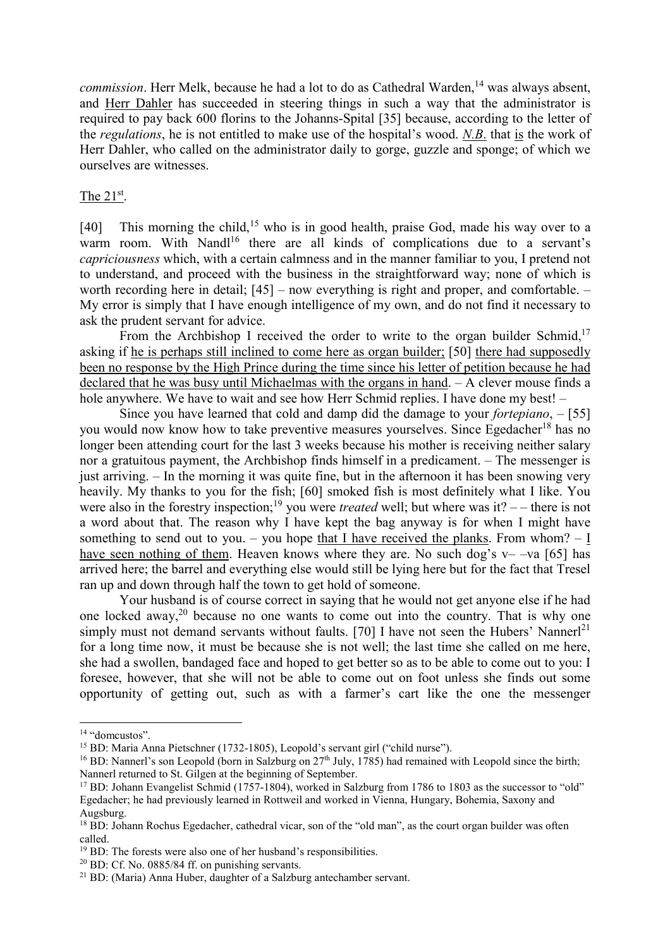*commission*. Herr Melk, because he had a lot to do as Cathedral Warden,<sup>14</sup> was always absent, and Herr Dahler has succeeded in steering things in such a way that the administrator is required to pay back 600 florins to the Johanns-Spital [35] because, according to the letter of the *regulations*, he is not entitled to make use of the hospital's wood. *N.B*. that is the work of Herr Dahler, who called on the administrator daily to gorge, guzzle and sponge; of which we ourselves are witnesses.

## The  $21^{st}$ .

[40] This morning the child,<sup>15</sup> who is in good health, praise God, made his way over to a warm room. With Nandl<sup>16</sup> there are all kinds of complications due to a servant's *capriciousness* which, with a certain calmness and in the manner familiar to you, I pretend not to understand, and proceed with the business in the straightforward way; none of which is worth recording here in detail; [45] – now everything is right and proper, and comfortable. – My error is simply that I have enough intelligence of my own, and do not find it necessary to ask the prudent servant for advice.

From the Archbishop I received the order to write to the organ builder Schmid, $17$ asking if he is perhaps still inclined to come here as organ builder; [50] there had supposedly been no response by the High Prince during the time since his letter of petition because he had declared that he was busy until Michaelmas with the organs in hand. – A clever mouse finds a hole anywhere. We have to wait and see how Herr Schmid replies. I have done my best! –

Since you have learned that cold and damp did the damage to your *fortepiano*, – [55] you would now know how to take preventive measures yourselves. Since Egedacher<sup>18</sup> has no longer been attending court for the last 3 weeks because his mother is receiving neither salary nor a gratuitous payment, the Archbishop finds himself in a predicament. – The messenger is just arriving. – In the morning it was quite fine, but in the afternoon it has been snowing very heavily. My thanks to you for the fish; [60] smoked fish is most definitely what I like. You were also in the forestry inspection;<sup>19</sup> you were *treated* well; but where was it? – – there is not a word about that. The reason why I have kept the bag anyway is for when I might have something to send out to you. – you hope that I have received the planks. From whom?  $- I$ have seen nothing of them. Heaven knows where they are. No such dog's  $v$ - $-va$  [65] has arrived here; the barrel and everything else would still be lying here but for the fact that Tresel ran up and down through half the town to get hold of someone.

Your husband is of course correct in saying that he would not get anyone else if he had one locked away,<sup>20</sup> because no one wants to come out into the country. That is why one simply must not demand servants without faults. [70] I have not seen the Hubers' Nannerl<sup>21</sup> for a long time now, it must be because she is not well; the last time she called on me here, she had a swollen, bandaged face and hoped to get better so as to be able to come out to you: I foresee, however, that she will not be able to come out on foot unless she finds out some opportunity of getting out, such as with a farmer's cart like the one the messenger

l

<sup>14</sup> "domcustos".

<sup>15</sup> BD: Maria Anna Pietschner (1732-1805), Leopold's servant girl ("child nurse").

<sup>&</sup>lt;sup>16</sup> BD: Nannerl's son Leopold (born in Salzburg on  $27<sup>th</sup>$  July, 1785) had remained with Leopold since the birth; Nannerl returned to St. Gilgen at the beginning of September.

<sup>&</sup>lt;sup>17</sup> BD: Johann Evangelist Schmid (1757-1804), worked in Salzburg from 1786 to 1803 as the successor to "old" Egedacher; he had previously learned in Rottweil and worked in Vienna, Hungary, Bohemia, Saxony and Augsburg.

<sup>&</sup>lt;sup>18</sup> BD: Johann Rochus Egedacher, cathedral vicar, son of the "old man", as the court organ builder was often called.

<sup>&</sup>lt;sup>19</sup> BD: The forests were also one of her husband's responsibilities.

 $20$  BD: Cf. No. 0885/84 ff. on punishing servants.

<sup>21</sup> BD: (Maria) Anna Huber, daughter of a Salzburg antechamber servant.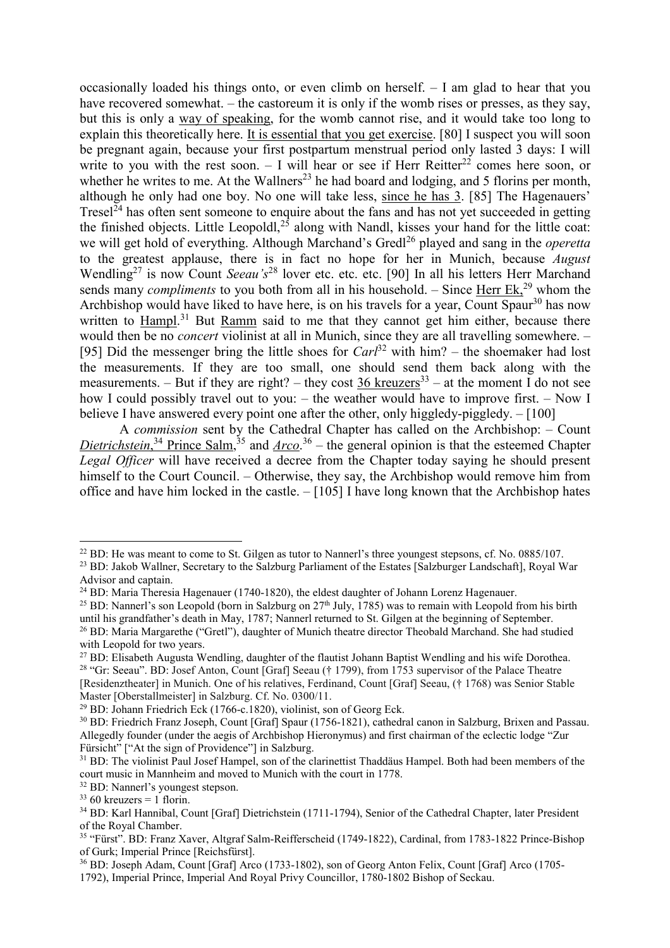occasionally loaded his things onto, or even climb on herself. – I am glad to hear that you have recovered somewhat. – the castoreum it is only if the womb rises or presses, as they say, but this is only a way of speaking, for the womb cannot rise, and it would take too long to explain this theoretically here. It is essential that you get exercise. [80] I suspect you will soon be pregnant again, because your first postpartum menstrual period only lasted 3 days: I will write to you with the rest soon.  $-$  I will hear or see if Herr Reitter<sup>22</sup> comes here soon, or whether he writes to me. At the Wallners<sup>23</sup> he had board and lodging, and 5 florins per month, although he only had one boy. No one will take less, since he has 3. [85] The Hagenauers' Tresel $^{24}$  has often sent someone to enquire about the fans and has not yet succeeded in getting the finished objects. Little Leopoldl,<sup>25</sup> along with Nandl, kisses your hand for the little coat: we will get hold of everything. Although Marchand's Gredl<sup>26</sup> played and sang in the *operetta* to the greatest applause, there is in fact no hope for her in Munich, because *August* Wendling<sup>27</sup> is now Count *Seeau's*<sup>28</sup> lover etc. etc. [90] In all his letters Herr Marchand sends many *compliments* to you both from all in his household. – Since Herr Ek,<sup>29</sup> whom the Archbishop would have liked to have here, is on his travels for a year, Count Spaur<sup>30</sup> has now written to Hampl.<sup>31</sup> But Ramm said to me that they cannot get him either, because there would then be no *concert* violinist at all in Munich, since they are all travelling somewhere. – [95] Did the messenger bring the little shoes for  $Carl<sup>32</sup>$  with him? – the shoemaker had lost the measurements. If they are too small, one should send them back along with the measurements. – But if they are right? – they cost 36 kreuzers<sup>33</sup> – at the moment I do not see how I could possibly travel out to you: – the weather would have to improve first. – Now I believe I have answered every point one after the other, only higgledy-piggledy. – [100]

A *commission* sent by the Cathedral Chapter has called on the Archbishop: – Count Dietrichstein,<sup>34</sup> Prince Salm,<sup>35</sup> and <u>Arco</u>.<sup>36</sup> – the general opinion is that the esteemed Chapter *Legal Officer* will have received a decree from the Chapter today saying he should present himself to the Court Council. – Otherwise, they say, the Archbishop would remove him from office and have him locked in the castle. – [105] I have long known that the Archbishop hates

l

<sup>32</sup> BD: Nannerl's youngest stepson.

<sup>&</sup>lt;sup>22</sup> BD: He was meant to come to St. Gilgen as tutor to Nannerl's three youngest stepsons, cf. No. 0885/107.

<sup>23</sup> BD: Jakob Wallner, Secretary to the Salzburg Parliament of the Estates [Salzburger Landschaft], Royal War Advisor and captain.

<sup>&</sup>lt;sup>24</sup> BD: Maria Theresia Hagenauer (1740-1820), the eldest daughter of Johann Lorenz Hagenauer.

<sup>&</sup>lt;sup>25</sup> BD: Nannerl's son Leopold (born in Salzburg on  $27<sup>th</sup>$  July, 1785) was to remain with Leopold from his birth until his grandfather's death in May, 1787; Nannerl returned to St. Gilgen at the beginning of September. <sup>26</sup> BD: Maria Margarethe ("Gretl"), daughter of Munich theatre director Theobald Marchand. She had studied

with Leopold for two years.

<sup>&</sup>lt;sup>27</sup> BD: Elisabeth Augusta Wendling, daughter of the flautist Johann Baptist Wendling and his wife Dorothea. <sup>28</sup> "Gr: Seeau". BD: Josef Anton, Count [Graf] Seeau († 1799), from 1753 supervisor of the Palace Theatre [Residenztheater] in Munich. One of his relatives, Ferdinand, Count [Graf] Seeau, († 1768) was Senior Stable Master [Oberstallmeister] in Salzburg. Cf. No. 0300/11.

<sup>29</sup> BD: Johann Friedrich Eck (1766-c.1820), violinist, son of Georg Eck.

<sup>30</sup> BD: Friedrich Franz Joseph, Count [Graf] Spaur (1756-1821), cathedral canon in Salzburg, Brixen and Passau. Allegedly founder (under the aegis of Archbishop Hieronymus) and first chairman of the eclectic lodge "Zur Fürsicht" ["At the sign of Providence"] in Salzburg.

<sup>&</sup>lt;sup>31</sup> BD: The violinist Paul Josef Hampel, son of the clarinettist Thaddäus Hampel. Both had been members of the court music in Mannheim and moved to Munich with the court in 1778.

 $33\,60$  kreuzers = 1 florin.

<sup>34</sup> BD: Karl Hannibal, Count [Graf] Dietrichstein (1711-1794), Senior of the Cathedral Chapter, later President of the Royal Chamber.

<sup>35</sup> "Fürst". BD: Franz Xaver, Altgraf Salm-Reifferscheid (1749-1822), Cardinal, from 1783-1822 Prince-Bishop of Gurk; Imperial Prince [Reichsfürst].

<sup>36</sup> BD: Joseph Adam, Count [Graf] Arco (1733-1802), son of Georg Anton Felix, Count [Graf] Arco (1705-

<sup>1792),</sup> Imperial Prince, Imperial And Royal Privy Councillor, 1780-1802 Bishop of Seckau.